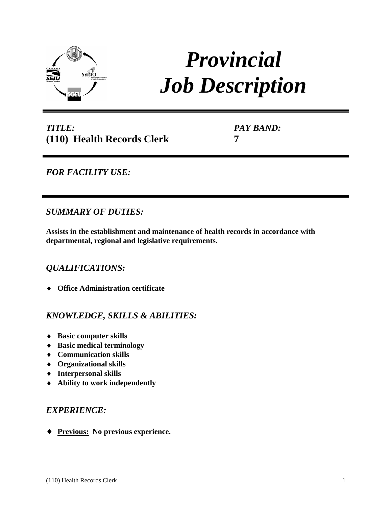

# *Provincial Job Description*

# *TITLE:* **(110) Health Records Clerk**

*PAY BAND:* **7**

# *FOR FACILITY USE:*

*SUMMARY OF DUTIES:*

**Assists in the establishment and maintenance of health records in accordance with departmental, regional and legislative requirements.**

# *QUALIFICATIONS:*

♦ **Office Administration certificate** 

# *KNOWLEDGE, SKILLS & ABILITIES:*

- ♦ **Basic computer skills**
- ♦ **Basic medical terminology**
- ♦ **Communication skills**
- ♦ **Organizational skills**
- ♦ **Interpersonal skills**
- ♦ **Ability to work independently**

## *EXPERIENCE:*

♦ **Previous: No previous experience.**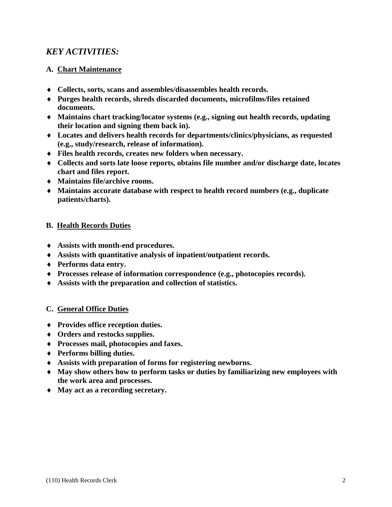## *KEY ACTIVITIES:*

### **A. Chart Maintenance**

- ♦ **Collects, sorts, scans and assembles/disassembles health records.**
- ♦ **Purges health records, shreds discarded documents, microfilms/files retained documents.**
- ♦ **Maintains chart tracking/locator systems (e.g., signing out health records, updating their location and signing them back in).**
- ♦ **Locates and delivers health records for departments/clinics/physicians, as requested (e.g., study/research, release of information).**
- ♦ **Files health records, creates new folders when necessary.**
- ♦ **Collects and sorts late loose reports, obtains file number and/or discharge date, locates chart and files report.**
- ♦ **Maintains file/archive rooms.**
- ♦ **Maintains accurate database with respect to health record numbers (e.g., duplicate patients/charts).**

#### **B. Health Records Duties**

- ♦ **Assists with month-end procedures.**
- ♦ **Assists with quantitative analysis of inpatient/outpatient records.**
- ♦ **Performs data entry.**
- ♦ **Processes release of information correspondence (e.g., photocopies records).**
- ♦ **Assists with the preparation and collection of statistics.**

#### **C. General Office Duties**

- ♦ **Provides office reception duties.**
- ♦ **Orders and restocks supplies.**
- ♦ **Processes mail, photocopies and faxes.**
- ♦ **Performs billing duties.**
- ♦ **Assists with preparation of forms for registering newborns.**
- ♦ **May show others how to perform tasks or duties by familiarizing new employees with the work area and processes.**
- ♦ **May act as a recording secretary.**